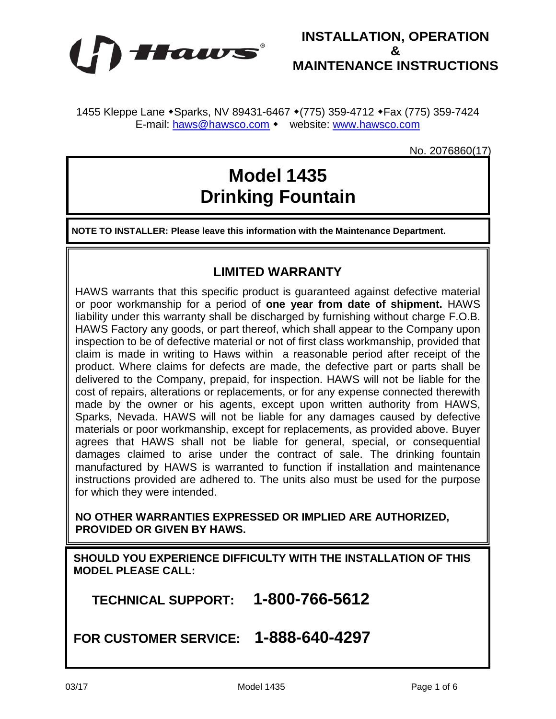



1455 Kleppe Lane • Sparks, NV 89431-6467 • (775) 359-4712 • Fax (775) 359-7424 E-mail: [haws@hawsco.com](mailto:haws@hawsco.com) • website: [www.hawsco.com](http://www.hawsco.com/)

No. 2076860(17)

# **Model 1435 Drinking Fountain**

**NOTE TO INSTALLER: Please leave this information with the Maintenance Department.**

## **LIMITED WARRANTY**

HAWS warrants that this specific product is guaranteed against defective material or poor workmanship for a period of **one year from date of shipment.** HAWS liability under this warranty shall be discharged by furnishing without charge F.O.B. HAWS Factory any goods, or part thereof, which shall appear to the Company upon inspection to be of defective material or not of first class workmanship, provided that claim is made in writing to Haws within a reasonable period after receipt of the product. Where claims for defects are made, the defective part or parts shall be delivered to the Company, prepaid, for inspection. HAWS will not be liable for the cost of repairs, alterations or replacements, or for any expense connected therewith made by the owner or his agents, except upon written authority from HAWS, Sparks, Nevada. HAWS will not be liable for any damages caused by defective materials or poor workmanship, except for replacements, as provided above. Buyer agrees that HAWS shall not be liable for general, special, or consequential damages claimed to arise under the contract of sale. The drinking fountain manufactured by HAWS is warranted to function if installation and maintenance instructions provided are adhered to. The units also must be used for the purpose for which they were intended.

**NO OTHER WARRANTIES EXPRESSED OR IMPLIED ARE AUTHORIZED, PROVIDED OR GIVEN BY HAWS.**

**SHOULD YOU EXPERIENCE DIFFICULTY WITH THE INSTALLATION OF THIS MODEL PLEASE CALL:**

 **TECHNICAL SUPPORT: 1-800-766-5612**

**FOR CUSTOMER SERVICE: 1-888-640-4297**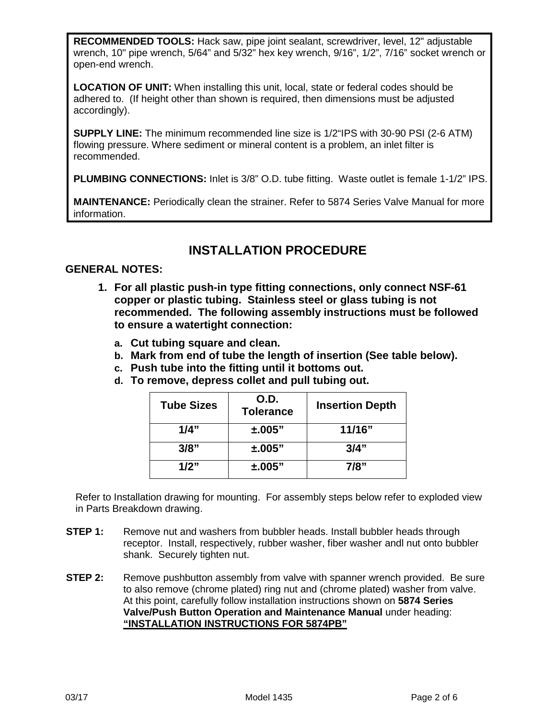**RECOMMENDED TOOLS:** Hack saw, pipe joint sealant, screwdriver, level, 12" adjustable wrench, 10" pipe wrench, 5/64" and 5/32" hex key wrench, 9/16", 1/2", 7/16" socket wrench or open-end wrench.

**LOCATION OF UNIT:** When installing this unit, local, state or federal codes should be adhered to. (If height other than shown is required, then dimensions must be adjusted accordingly).

**SUPPLY LINE:** The minimum recommended line size is 1/2"IPS with 30-90 PSI (2-6 ATM) flowing pressure. Where sediment or mineral content is a problem, an inlet filter is recommended.

**PLUMBING CONNECTIONS:** Inlet is 3/8" O.D. tube fitting. Waste outlet is female 1-1/2" IPS.

**MAINTENANCE:** Periodically clean the strainer. Refer to 5874 Series Valve Manual for more information.

## **INSTALLATION PROCEDURE**

### **GENERAL NOTES:**

- **1. For all plastic push-in type fitting connections, only connect NSF-61 copper or plastic tubing. Stainless steel or glass tubing is not recommended. The following assembly instructions must be followed to ensure a watertight connection:**
	- **a. Cut tubing square and clean.**
	- **b. Mark from end of tube the length of insertion (See table below).**
	- **c. Push tube into the fitting until it bottoms out.**
	- **d. To remove, depress collet and pull tubing out.**

| <b>Tube Sizes</b> | O.D.<br><b>Tolerance</b> | <b>Insertion Depth</b> |
|-------------------|--------------------------|------------------------|
| 1/4"              | $\pm .005"$              | 11/16"                 |
| 3/8"              | $\pm .005"$              | 3/4"                   |
| 1/2"              | $\pm .005"$              | 7/8"                   |

Refer to Installation drawing for mounting. For assembly steps below refer to exploded view in Parts Breakdown drawing.

- **STEP 1:** Remove nut and washers from bubbler heads. Install bubbler heads through receptor. Install, respectively, rubber washer, fiber washer andl nut onto bubbler shank. Securely tighten nut.
- **STEP 2:** Remove pushbutton assembly from valve with spanner wrench provided. Be sure to also remove (chrome plated) ring nut and (chrome plated) washer from valve. At this point, carefully follow installation instructions shown on **5874 Series Valve/Push Button Operation and Maintenance Manual** under heading: **"INSTALLATION INSTRUCTIONS FOR 5874PB"**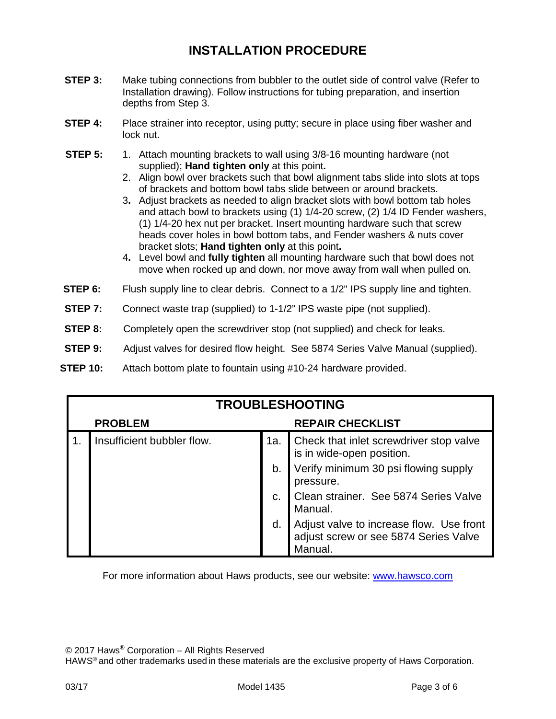# **INSTALLATION PROCEDURE**

- **STEP 3:** Make tubing connections from bubbler to the outlet side of control valve (Refer to Installation drawing). Follow instructions for tubing preparation, and insertion depths from Step 3.
- **STEP 4:** Place strainer into receptor, using putty; secure in place using fiber washer and lock nut.
- **STEP 5:** 1. Attach mounting brackets to wall using 3/8-16 mounting hardware (not supplied); **Hand tighten only** at this point**.**
	- 2. Align bowl over brackets such that bowl alignment tabs slide into slots at tops of brackets and bottom bowl tabs slide between or around brackets.
	- 3**.** Adjust brackets as needed to align bracket slots with bowl bottom tab holes and attach bowl to brackets using (1) 1/4-20 screw, (2) 1/4 ID Fender washers, (1) 1/4-20 hex nut per bracket. Insert mounting hardware such that screw heads cover holes in bowl bottom tabs, and Fender washers & nuts cover bracket slots; **Hand tighten only** at this point**.**
	- 4**.** Level bowl and **fully tighten** all mounting hardware such that bowl does not move when rocked up and down, nor move away from wall when pulled on.
- **STEP 6:** Flush supply line to clear debris. Connect to a 1/2" IPS supply line and tighten.
- **STEP 7:** Connect waste trap (supplied) to 1-1/2" IPS waste pipe (not supplied).
- **STEP 8:** Completely open the screwdriver stop (not supplied) and check for leaks.
- **STEP 9:** Adjust valves for desired flow height. See 5874 Series Valve Manual (supplied).
- **STEP 10:** Attach bottom plate to fountain using #10-24 hardware provided.

| <b>TROUBLESHOOTING</b> |                            |                         |                                                                                              |
|------------------------|----------------------------|-------------------------|----------------------------------------------------------------------------------------------|
| <b>PROBLEM</b>         |                            | <b>REPAIR CHECKLIST</b> |                                                                                              |
|                        | Insufficient bubbler flow. | 1a.                     | Check that inlet screwdriver stop valve<br>is in wide-open position.                         |
|                        |                            | b.                      | Verify minimum 30 psi flowing supply<br>pressure.                                            |
|                        |                            | C.                      | Clean strainer. See 5874 Series Valve<br>Manual.                                             |
|                        |                            | d.                      | Adjust valve to increase flow. Use front<br>adjust screw or see 5874 Series Valve<br>Manual. |

For more information about Haws products, see our website: [www.hawsco.com](http://www.hawsco.com/)

© 2017 Haws® Corporation – All Rights Reserved

HAWS® and other trademarks used in these materials are the exclusive property of Haws Corporation.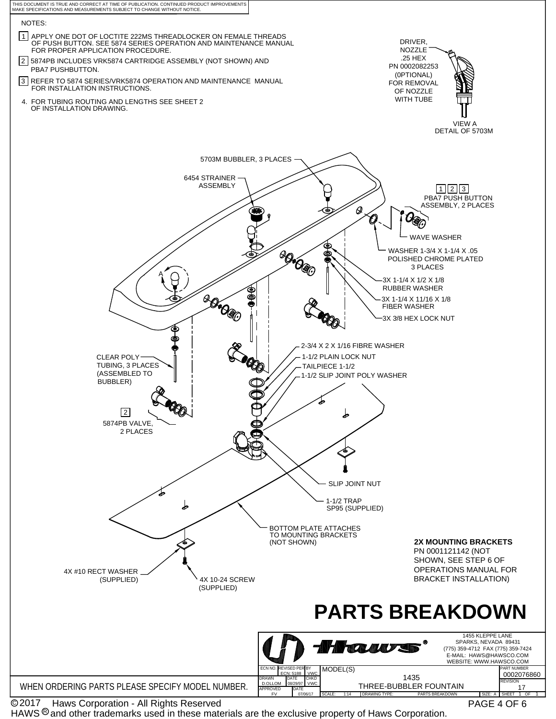

C 2017

PAGE 4 OF 6

HAWS  $^{\circledR}$  and other trademarks used in these materials are the exclusive property of Haws Corporation.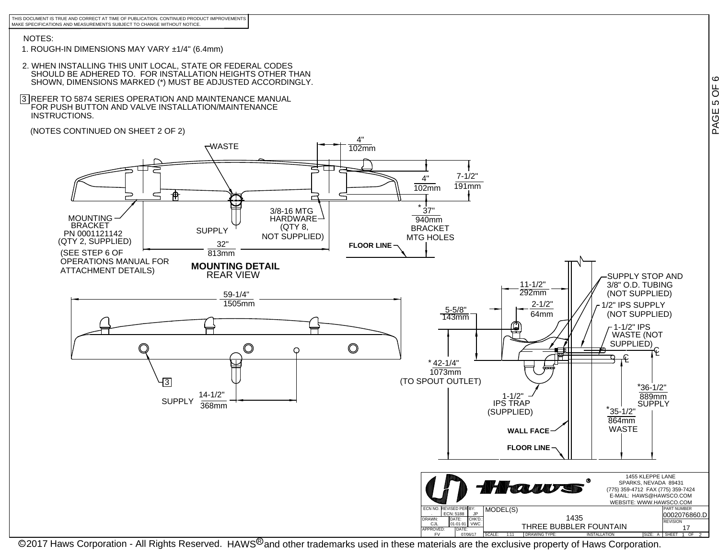THIS DOCUMENT IS TRUE AND CORRECT AT TIME OF PUBLICATION. CONTINUED PRODUCT IMPROVEMENTSMAKE SPECIFICATIONS AND MEASUREMENTS SUBJECT TO CHANGE WITHOUT NOTICE.

#### NOTES:

- 1. ROUGH-IN DIMENSIONS MAY VARY ±1/4" (6.4mm)
- 2. WHEN INSTALLING THIS UNIT LOCAL, STATE OR FEDERAL CODES SHOULD BE ADHERED TO. FOR INSTALLATION HEIGHTS OTHER THANSHOWN, DIMENSIONS MARKED (\*) MUST BE ADJUSTED ACCORDINGLY.
- 3 |REFER TO 5874 SERIES OPERATION AND MAINTENANCE MANUAL<br> ̄FOR PUSH BUTTON AND VALVE INSTALLATION/MAINTENANCE INSTRUCTIONS.
- (NOTES CONTINUED ON SHEET 2 OF 2)



@2017 Haws Corporation - All Rights Reserved. HAWS<sup>®</sup>and other trademarks used in these materials are the exclusive property of Haws Corporation.